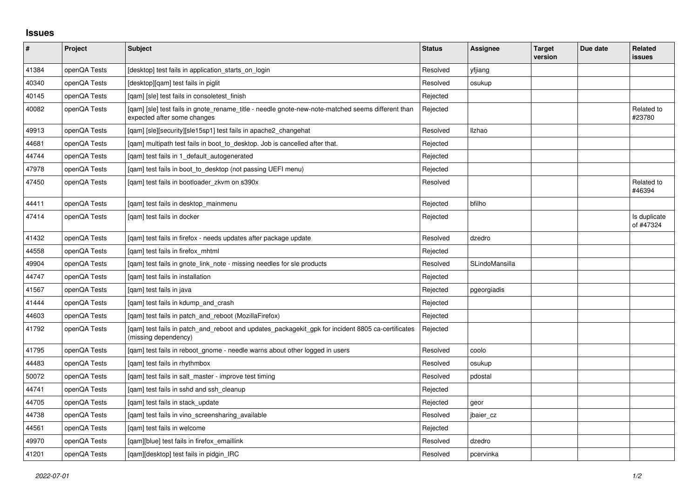## **Issues**

| $\sharp$ | Project      | Subject                                                                                                                          | <b>Status</b> | Assignee       | <b>Target</b><br>version | Due date | Related<br>issues         |
|----------|--------------|----------------------------------------------------------------------------------------------------------------------------------|---------------|----------------|--------------------------|----------|---------------------------|
| 41384    | openQA Tests | [desktop] test fails in application starts on login                                                                              | Resolved      | yfjiang        |                          |          |                           |
| 40340    | openQA Tests | [desktop][qam] test fails in piglit                                                                                              | Resolved      | osukup         |                          |          |                           |
| 40145    | openQA Tests | [gam] [sle] test fails in consoletest finish                                                                                     | Rejected      |                |                          |          |                           |
| 40082    | openQA Tests | [gam] [sle] test fails in gnote rename title - needle gnote-new-note-matched seems different than<br>expected after some changes | Rejected      |                |                          |          | Related to<br>#23780      |
| 49913    | openQA Tests | [qam] [sle][security][sle15sp1] test fails in apache2_changehat                                                                  | Resolved      | <b>Ilzhao</b>  |                          |          |                           |
| 44681    | openQA Tests | [gam] multipath test fails in boot to desktop. Job is cancelled after that.                                                      | Rejected      |                |                          |          |                           |
| 44744    | openQA Tests | [gam] test fails in 1 default autogenerated                                                                                      | Rejected      |                |                          |          |                           |
| 47978    | openQA Tests | [qam] test fails in boot_to_desktop (not passing UEFI menu)                                                                      | Rejected      |                |                          |          |                           |
| 47450    | openQA Tests | [gam] test fails in bootloader zkvm on s390x                                                                                     | Resolved      |                |                          |          | Related to<br>#46394      |
| 44411    | openQA Tests | [qam] test fails in desktop_mainmenu                                                                                             | Rejected      | bfilho         |                          |          |                           |
| 47414    | openQA Tests | [gam] test fails in docker                                                                                                       | Rejected      |                |                          |          | Is duplicate<br>of #47324 |
| 41432    | openQA Tests | [gam] test fails in firefox - needs updates after package update                                                                 | Resolved      | dzedro         |                          |          |                           |
| 44558    | openQA Tests | [qam] test fails in firefox_mhtml                                                                                                | Rejected      |                |                          |          |                           |
| 49904    | openQA Tests | [qam] test fails in gnote_link_note - missing needles for sle products                                                           | Resolved      | SLindoMansilla |                          |          |                           |
| 44747    | openQA Tests | [gam] test fails in installation                                                                                                 | Rejected      |                |                          |          |                           |
| 41567    | openQA Tests | [qam] test fails in java                                                                                                         | Rejected      | pgeorgiadis    |                          |          |                           |
| 41444    | openQA Tests | [gam] test fails in kdump and crash                                                                                              | Rejected      |                |                          |          |                           |
| 44603    | openQA Tests | [qam] test fails in patch_and_reboot (MozillaFirefox)                                                                            | Rejected      |                |                          |          |                           |
| 41792    | openQA Tests | [qam] test fails in patch_and_reboot and updates_packagekit_gpk for incident 8805 ca-certificates<br>(missing dependency)        | Rejected      |                |                          |          |                           |
| 41795    | openQA Tests | [gam] test fails in reboot gnome - needle warns about other logged in users                                                      | Resolved      | coolo          |                          |          |                           |
| 44483    | openQA Tests | [gam] test fails in rhythmbox                                                                                                    | Resolved      | osukup         |                          |          |                           |
| 50072    | openQA Tests | [gam] test fails in salt master - improve test timing                                                                            | Resolved      | pdostal        |                          |          |                           |
| 44741    | openQA Tests | [gam] test fails in sshd and ssh cleanup                                                                                         | Rejected      |                |                          |          |                           |
| 44705    | openQA Tests | [qam] test fails in stack_update                                                                                                 | Rejected      | geor           |                          |          |                           |
| 44738    | openQA Tests | [qam] test fails in vino_screensharing_available                                                                                 | Resolved      | jbaier_cz      |                          |          |                           |
| 44561    | openQA Tests | [gam] test fails in welcome                                                                                                      | Rejected      |                |                          |          |                           |
| 49970    | openQA Tests | [qam][blue] test fails in firefox_emaillink                                                                                      | Resolved      | dzedro         |                          |          |                           |
| 41201    | openQA Tests | [gam][desktop] test fails in pidgin IRC                                                                                          | Resolved      | pcervinka      |                          |          |                           |